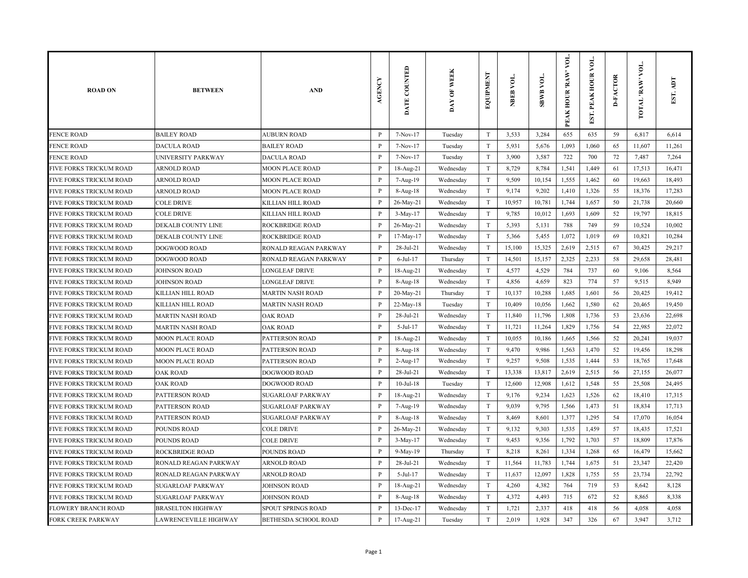| <b>ROAD ON</b>                 | <b>BETWEEN</b>           | <b>AND</b>               | <b>AGENCY</b>  | DATE COUNTED | DAY OF WEEK | EQUIPMENT                 | NBEB VOL. | <b>SBWB VOL.</b> | VOL.<br>PEAK HOUR 'RAW' | EST. PEAK HOUR VOL | <b>D-FACTOR</b> | TOTAL RAW VOL. | EST. ADT |
|--------------------------------|--------------------------|--------------------------|----------------|--------------|-------------|---------------------------|-----------|------------------|-------------------------|--------------------|-----------------|----------------|----------|
| <b>FENCE ROAD</b>              | <b>BAILEY ROAD</b>       | <b>AUBURN ROAD</b>       | P              | 7-Nov-17     | Tuesday     | T                         | 3,533     | 3,284            | 655                     | 635                | 59              | 6,817          | 6,614    |
| <b>FENCE ROAD</b>              | <b>DACULA ROAD</b>       | <b>BAILEY ROAD</b>       | $\mathbf{P}$   | 7-Nov-17     | Tuesday     | T                         | 5,931     | 5,676            | 1,093                   | 1,060              | 65              | 11,607         | 11,261   |
| <b>FENCE ROAD</b>              | UNIVERSITY PARKWAY       | <b>DACULA ROAD</b>       | $\mathbf{P}$   | 7-Nov-17     | Tuesday     | $\ensuremath{\mathrm{T}}$ | 3,900     | 3,587            | 722                     | 700                | 72              | 7,487          | 7,264    |
| FIVE FORKS TRICKUM ROAD        | <b>ARNOLD ROAD</b>       | <b>MOON PLACE ROAD</b>   | $\mathbf{P}$   | 18-Aug-21    | Wednesday   | $\ensuremath{\mathrm{T}}$ | 8,729     | 8,784            | 1,541                   | 1,449              | 61              | 17,513         | 16,471   |
| FIVE FORKS TRICKUM ROAD        | ARNOLD ROAD              | <b>MOON PLACE ROAD</b>   | $\, {\bf P}$   | 7-Aug-19     | Wednesday   | $\ensuremath{\mathrm{T}}$ | 9,509     | 10,154           | 1,555                   | 1,462              | 60              | 19,663         | 18,493   |
| <b>FIVE FORKS TRICKUM ROAD</b> | ARNOLD ROAD              | <b>MOON PLACE ROAD</b>   | P              | $8-Aug-18$   | Wednesday   | T                         | 9,174     | 9,202            | 1,410                   | 1,326              | 55              | 18,376         | 17,283   |
| FIVE FORKS TRICKUM ROAD        | <b>COLE DRIVE</b>        | KILLIAN HILL ROAD        | $\mathbf{P}$   | 26-May-21    | Wednesday   | T                         | 10,957    | 10,781           | 1,744                   | 1,657              | 50              | 21,738         | 20,660   |
| <b>FIVE FORKS TRICKUM ROAD</b> | <b>COLE DRIVE</b>        | KILLIAN HILL ROAD        | P              | 3-May-17     | Wednesday   | T                         | 9,785     | 10,012           | 1,693                   | 1,609              | 52              | 19,797         | 18,815   |
| FIVE FORKS TRICKUM ROAD        | DEKALB COUNTY LINE       | ROCKBRIDGE ROAD          | $\mathbf{P}$   | 26-May-21    | Wednesday   | T                         | 5,393     | 5,131            | 788                     | 749                | 59              | 10,524         | 10,002   |
| FIVE FORKS TRICKUM ROAD        | DEKALB COUNTY LINE       | ROCKBRIDGE ROAD          | $\mathbf{P}$   | 17-May-17    | Wednesday   | T                         | 5,366     | 5,455            | 1,072                   | 1,019              | 69              | 10,821         | 10,284   |
| FIVE FORKS TRICKUM ROAD        | <b>DOGWOOD ROAD</b>      | RONALD REAGAN PARKWAY    | $\, {\bf P}$   | 28-Jul-21    | Wednesday   | T                         | 15,100    | 15,325           | 2,619                   | 2,515              | 67              | 30,425         | 29,217   |
| FIVE FORKS TRICKUM ROAD        | DOGWOOD ROAD             | RONALD REAGAN PARKWAY    | $\, {\bf P}$   | $6$ -Jul-17  | Thursday    | T                         | 14,501    | 15,157           | 2,325                   | 2,233              | 58              | 29,658         | 28,481   |
| FIVE FORKS TRICKUM ROAD        | <b>JOHNSON ROAD</b>      | <b>LONGLEAF DRIVE</b>    | $\mathbf{P}$   | 18-Aug-21    | Wednesday   | T                         | 4,577     | 4,529            | 784                     | 737                | 60              | 9,106          | 8,564    |
| FIVE FORKS TRICKUM ROAD        | <b>JOHNSON ROAD</b>      | <b>LONGLEAF DRIVE</b>    | $\, {\bf P}$   | 8-Aug-18     | Wednesday   | T                         | 4,856     | 4,659            | 823                     | 774                | 57              | 9,515          | 8,949    |
| <b>FIVE FORKS TRICKUM ROAD</b> | KILLIAN HILL ROAD        | <b>MARTIN NASH ROAD</b>  | $\overline{P}$ | 20-May-21    | Thursday    | $\rm T$                   | 10,137    | 10,288           | 1,685                   | 1,601              | 56              | 20,425         | 19,412   |
| FIVE FORKS TRICKUM ROAD        | KILLIAN HILL ROAD        | <b>MARTIN NASH ROAD</b>  | $\mathbf{P}$   | 22-May-18    | Tuesday     | T                         | 10,409    | 10,056           | 1,662                   | 1,580              | 62              | 20,465         | 19,450   |
| <b>FIVE FORKS TRICKUM ROAD</b> | <b>MARTIN NASH ROAD</b>  | <b>OAK ROAD</b>          | P              | 28-Jul-21    | Wednesday   | T                         | 11,840    | 11,796           | 1,808                   | 1,736              | 53              | 23,636         | 22,698   |
| FIVE FORKS TRICKUM ROAD        | <b>MARTIN NASH ROAD</b>  | <b>OAK ROAD</b>          | $\, {\bf P}$   | $5-Jul-17$   | Wednesday   | T                         | 11,721    | 11,264           | 1,829                   | 1,756              | 54              | 22,985         | 22,072   |
| FIVE FORKS TRICKUM ROAD        | <b>MOON PLACE ROAD</b>   | PATTERSON ROAD           | P              | 18-Aug-21    | Wednesday   | T                         | 10,055    | 10,186           | 1,665                   | 1,566              | 52              | 20,241         | 19,037   |
| FIVE FORKS TRICKUM ROAD        | MOON PLACE ROAD          | PATTERSON ROAD           | P              | 8-Aug-18     | Wednesday   | T                         | 9,470     | 9,986            | 1,563                   | 1,470              | 52              | 19,456         | 18,298   |
| FIVE FORKS TRICKUM ROAD        | <b>MOON PLACE ROAD</b>   | PATTERSON ROAD           | $\mathbf{P}$   | 2-Aug-17     | Wednesday   | $\ensuremath{\mathrm{T}}$ | 9,257     | 9,508            | 1,535                   | 1,444              | 53              | 18,765         | 17,648   |
| FIVE FORKS TRICKUM ROAD        | <b>OAK ROAD</b>          | DOGWOOD ROAD             | $\mathbf{P}$   | 28-Jul-21    | Wednesday   | T                         | 13,338    | 13,817           | 2,619                   | 2,515              | 56              | 27,155         | 26,077   |
| FIVE FORKS TRICKUM ROAD        | <b>OAK ROAD</b>          | <b>DOGWOOD ROAD</b>      | $\, {\bf P}$   | $10-Jul-18$  | Tuesday     | $\ensuremath{\mathrm{T}}$ | 12,600    | 12,908           | 1,612                   | 1,548              | 55              | 25,508         | 24,495   |
| <b>FIVE FORKS TRICKUM ROAD</b> | PATTERSON ROAD           | <b>SUGARLOAF PARKWAY</b> | P              | 18-Aug-21    | Wednesday   | $\rm T$                   | 9,176     | 9,234            | 1,623                   | 1,526              | 62              | 18,410         | 17,315   |
| FIVE FORKS TRICKUM ROAD        | PATTERSON ROAD           | <b>SUGARLOAF PARKWAY</b> | $\, {\bf P}$   | 7-Aug-19     | Wednesday   | T                         | 9,039     | 9,795            | 1,566                   | 1,473              | 51              | 18,834         | 17,713   |
| FIVE FORKS TRICKUM ROAD        | PATTERSON ROAD           | <b>SUGARLOAF PARKWAY</b> | P              | 8-Aug-18     | Wednesday   | T                         | 8,469     | 8,601            | 1,377                   | 1,295              | 54              | 17,070         | 16,054   |
| FIVE FORKS TRICKUM ROAD        | POUNDS ROAD              | <b>COLE DRIVE</b>        | $\mathbf{P}$   | 26-May-21    | Wednesday   | $\rm T$                   | 9,132     | 9,303            | 1,535                   | 1,459              | 57              | 18,435         | 17,521   |
| FIVE FORKS TRICKUM ROAD        | <b>POUNDS ROAD</b>       | <b>COLE DRIVE</b>        | P              | $3-May-17$   | Wednesday   | T                         | 9,453     | 9,356            | 1,792                   | 1,703              | 57              | 18,809         | 17,876   |
| <b>FIVE FORKS TRICKUM ROAD</b> | <b>ROCKBRIDGE ROAD</b>   | POUNDS ROAD              | $\mathbf{P}$   | 9-May-19     | Thursday    | T                         | 8,218     | 8,261            | 1,334                   | 1,268              | 65              | 16,479         | 15,662   |
| FIVE FORKS TRICKUM ROAD        | RONALD REAGAN PARKWAY    | <b>ARNOLD ROAD</b>       | P              | 28-Jul-21    | Wednesday   | $\ensuremath{\mathrm{T}}$ | 11,564    | 11,783           | 1,744                   | 1,675              | 51              | 23,347         | 22,420   |
| FIVE FORKS TRICKUM ROAD        | RONALD REAGAN PARKWAY    | ARNOLD ROAD              | $\mathbf{P}$   | $5-Jul-17$   | Wednesday   | T                         | 11,637    | 12,097           | 1,828                   | 1,755              | 55              | 23,734         | 22,792   |
| FIVE FORKS TRICKUM ROAD        | <b>SUGARLOAF PARKWAY</b> | <b>JOHNSON ROAD</b>      | $\, {\bf P}$   | 18-Aug-21    | Wednesday   | T                         | 4,260     | 4,382            | 764                     | 719                | 53              | 8,642          | 8,128    |
| <b>FIVE FORKS TRICKUM ROAD</b> | <b>SUGARLOAF PARKWAY</b> | <b>JOHNSON ROAD</b>      | P              | $8-Aug-18$   | Wednesday   | T                         | 4,372     | 4,493            | 715                     | 672                | 52              | 8,865          | 8,338    |
| <b>FLOWERY BRANCH ROAD</b>     | <b>BRASELTON HIGHWAY</b> | SPOUT SPRINGS ROAD       | $\, {\bf P}$   | 13-Dec-17    | Wednesday   | T                         | 1,721     | 2,337            | 418                     | 418                | 56              | 4,058          | 4,058    |
| <b>FORK CREEK PARKWAY</b>      | LAWRENCEVILLE HIGHWAY    | BETHESDA SCHOOL ROAD     | $\, {\bf P}$   | $17-Aug-21$  | Tuesday     | $\mathbf T$               | 2,019     | 1,928            | 347                     | 326                | 67              | 3,947          | 3,712    |